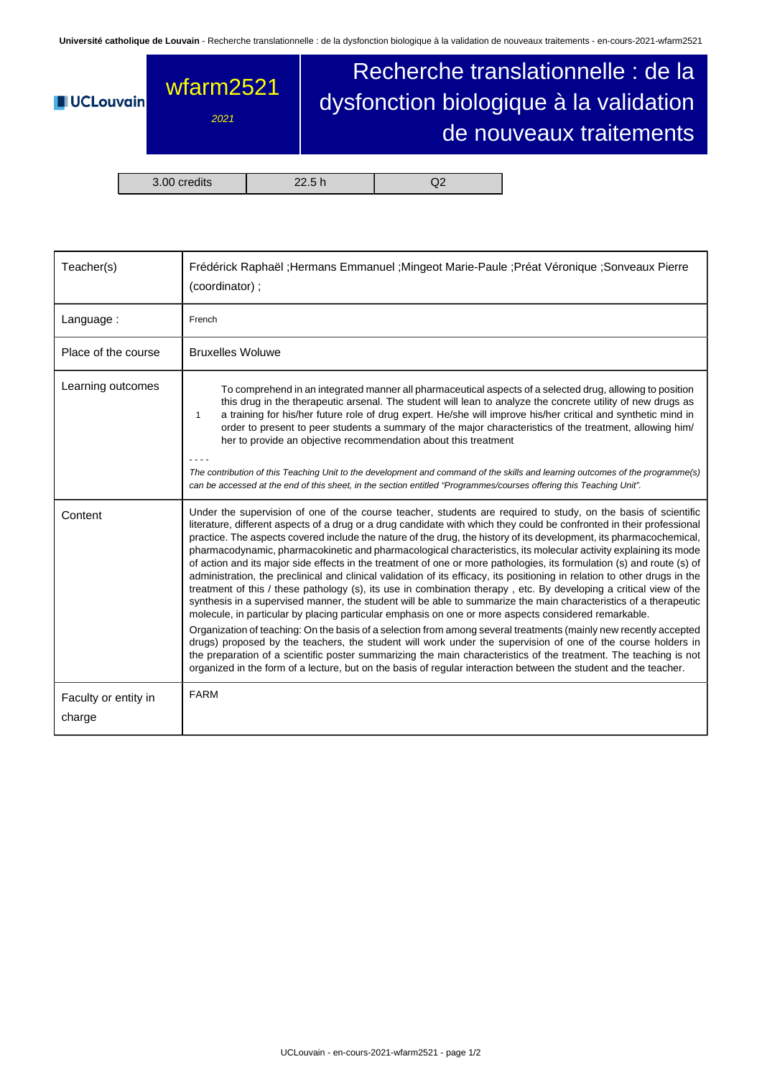**Université catholique de Louvain** - Recherche translationnelle : de la dysfonction biologique à la validation de nouveaux traitements - en-cours-2021-wfarm2521

## Recherche translationnelle : de la wfarm2521 dysfonction biologique à la validation **UCLouvain** 2021 de nouveaux traitements 3.00 credits 22.5 h Q2

| Teacher(s)                     | Frédérick Raphaël ; Hermans Emmanuel ; Mingeot Marie-Paule ; Préat Véronique ; Sonveaux Pierre<br>(coordinator);                                                                                                                                                                                                                                                                                                                                                                                                                                                                                                                                                                                                                                                                                                                                                                                                                                                                                                                                                                                                                                                                                                                                                                                                                                                                                                                                                                                                                                                            |  |  |  |
|--------------------------------|-----------------------------------------------------------------------------------------------------------------------------------------------------------------------------------------------------------------------------------------------------------------------------------------------------------------------------------------------------------------------------------------------------------------------------------------------------------------------------------------------------------------------------------------------------------------------------------------------------------------------------------------------------------------------------------------------------------------------------------------------------------------------------------------------------------------------------------------------------------------------------------------------------------------------------------------------------------------------------------------------------------------------------------------------------------------------------------------------------------------------------------------------------------------------------------------------------------------------------------------------------------------------------------------------------------------------------------------------------------------------------------------------------------------------------------------------------------------------------------------------------------------------------------------------------------------------------|--|--|--|
| Language:                      | French                                                                                                                                                                                                                                                                                                                                                                                                                                                                                                                                                                                                                                                                                                                                                                                                                                                                                                                                                                                                                                                                                                                                                                                                                                                                                                                                                                                                                                                                                                                                                                      |  |  |  |
| Place of the course            | <b>Bruxelles Woluwe</b>                                                                                                                                                                                                                                                                                                                                                                                                                                                                                                                                                                                                                                                                                                                                                                                                                                                                                                                                                                                                                                                                                                                                                                                                                                                                                                                                                                                                                                                                                                                                                     |  |  |  |
| Learning outcomes              | To comprehend in an integrated manner all pharmaceutical aspects of a selected drug, allowing to position<br>this drug in the therapeutic arsenal. The student will lean to analyze the concrete utility of new drugs as<br>a training for his/her future role of drug expert. He/she will improve his/her critical and synthetic mind in<br>$\mathbf{1}$<br>order to present to peer students a summary of the major characteristics of the treatment, allowing him/<br>her to provide an objective recommendation about this treatment<br>The contribution of this Teaching Unit to the development and command of the skills and learning outcomes of the programme(s)<br>can be accessed at the end of this sheet, in the section entitled "Programmes/courses offering this Teaching Unit".                                                                                                                                                                                                                                                                                                                                                                                                                                                                                                                                                                                                                                                                                                                                                                            |  |  |  |
| Content                        | Under the supervision of one of the course teacher, students are required to study, on the basis of scientific<br>literature, different aspects of a drug or a drug candidate with which they could be confronted in their professional<br>practice. The aspects covered include the nature of the drug, the history of its development, its pharmacochemical,<br>pharmacodynamic, pharmacokinetic and pharmacological characteristics, its molecular activity explaining its mode<br>of action and its major side effects in the treatment of one or more pathologies, its formulation (s) and route (s) of<br>administration, the preclinical and clinical validation of its efficacy, its positioning in relation to other drugs in the<br>treatment of this / these pathology (s), its use in combination therapy, etc. By developing a critical view of the<br>synthesis in a supervised manner, the student will be able to summarize the main characteristics of a therapeutic<br>molecule, in particular by placing particular emphasis on one or more aspects considered remarkable.<br>Organization of teaching: On the basis of a selection from among several treatments (mainly new recently accepted<br>drugs) proposed by the teachers, the student will work under the supervision of one of the course holders in<br>the preparation of a scientific poster summarizing the main characteristics of the treatment. The teaching is not<br>organized in the form of a lecture, but on the basis of regular interaction between the student and the teacher. |  |  |  |
| Faculty or entity in<br>charge | <b>FARM</b>                                                                                                                                                                                                                                                                                                                                                                                                                                                                                                                                                                                                                                                                                                                                                                                                                                                                                                                                                                                                                                                                                                                                                                                                                                                                                                                                                                                                                                                                                                                                                                 |  |  |  |